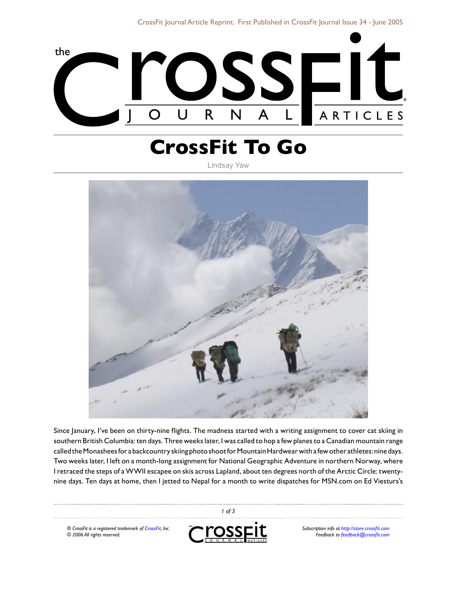

## **CrossFit To Go**

Lindsay Yaw



Since January, I've been on thirty-nine flights. The madness started with a writing assignment to cover cat skiing in southern British Columbia: ten days. Three weeks later, I was called to hop a few planes to a Canadian mountain range called the Monashees for a backcountry skiing photo shoot for Mountain Hardwear with a few other athletes: nine days. Two weeks later, I left on a month-long assignment for National Geographic Adventure in northern Norway, where I retraced the steps of a WWII escapee on skis across Lapland, about ten degrees north of the Arctic Circle: twentynine days. Ten days at home, then I jetted to Nepal for a month to write dispatches for MSN.com on Ed Viesturs's

*® CrossFit is a registered trademark of [CrossFit,](http://www.crossfit.com) Inc. © 2006 All rights reserved.*



 *of 3*

*Subscription info at [http://store.crossfit.com](http://journal.crossfit.com) Feedback to [feedback@crossfit.com](mailto:feedback@crossfit.com)*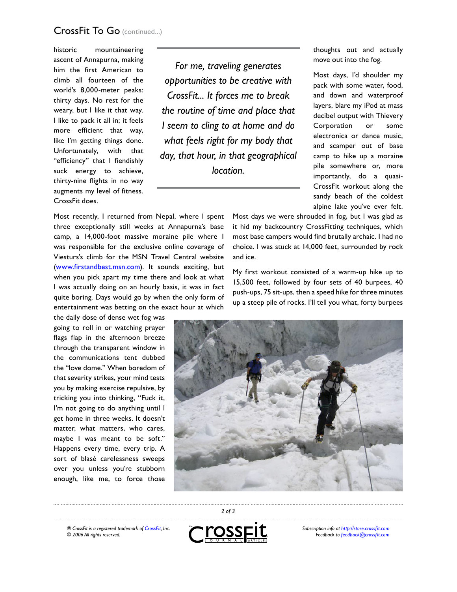## CrossFit To Go (continued...)

historic mountaineering ascent of Annapurna, making him the first American to climb all fourteen of the world's 8,000-meter peaks: thirty days. No rest for the weary, but I like it that way. I like to pack it all in; it feels more efficient that way, like I'm getting things done. Unfortunately, with that "efficiency" that I fiendishly suck energy to achieve, thirty-nine flights in no way augments my level of fitness. CrossFit does.

*For me, traveling generates opportunities to be creative with CrossFit... It forces me to break the routine of time and place that I seem to cling to at home and do what feels right for my body that day, that hour, in that geographical location.*

Most recently, I returned from Nepal, where I spent three exceptionally still weeks at Annapurna's base camp, a 14,000-foot massive moraine pile where I was responsible for the exclusive online coverage of Viesturs's climb for the MSN Travel Central website [\(www.firstandbest.msn.com\)](http://www.firstandbest.msn.com). It sounds exciting, but when you pick apart my time there and look at what I was actually doing on an hourly basis, it was in fact quite boring. Days would go by when the only form of entertainment was betting on the exact hour at which

the daily dose of dense wet fog was going to roll in or watching prayer flags flap in the afternoon breeze through the transparent window in the communications tent dubbed the "love dome." When boredom of that severity strikes, your mind tests you by making exercise repulsive, by tricking you into thinking, "Fuck it, I'm not going to do anything until I get home in three weeks. It doesn't matter, what matters, who cares, maybe I was meant to be soft." Happens every time, every trip. A sort of blasé carelessness sweeps over you unless you're stubborn enough, like me, to force those

move out into the fog. Most days, I'd shoulder my

thoughts out and actually

pack with some water, food, and down and waterproof layers, blare my iPod at mass decibel output with Thievery Corporation or some electronica or dance music, and scamper out of base camp to hike up a moraine pile somewhere or, more importantly, do a quasi-CrossFit workout along the sandy beach of the coldest alpine lake you've ever felt.

Most days we were shrouded in fog, but I was glad as it hid my backcountry CrossFitting techniques, which most base campers would find brutally archaic. I had no choice. I was stuck at 14,000 feet, surrounded by rock and ice.

My first workout consisted of a warm-up hike up to 15,500 feet, followed by four sets of 40 burpees, 40 push-ups, 75 sit-ups, then a speed hike for three minutes up a steep pile of rocks. I'll tell you what, forty burpees



*® CrossFit is a registered trademark of [CrossFit,](http://www.crossfit.com) Inc. © 2006 All rights reserved.*



 *of 3*

*Subscription info at [http://store.crossfit.com](http://journal.crossfit.com) Feedback to [feedback@crossfit.com](mailto:feedback@crossfit.com)*